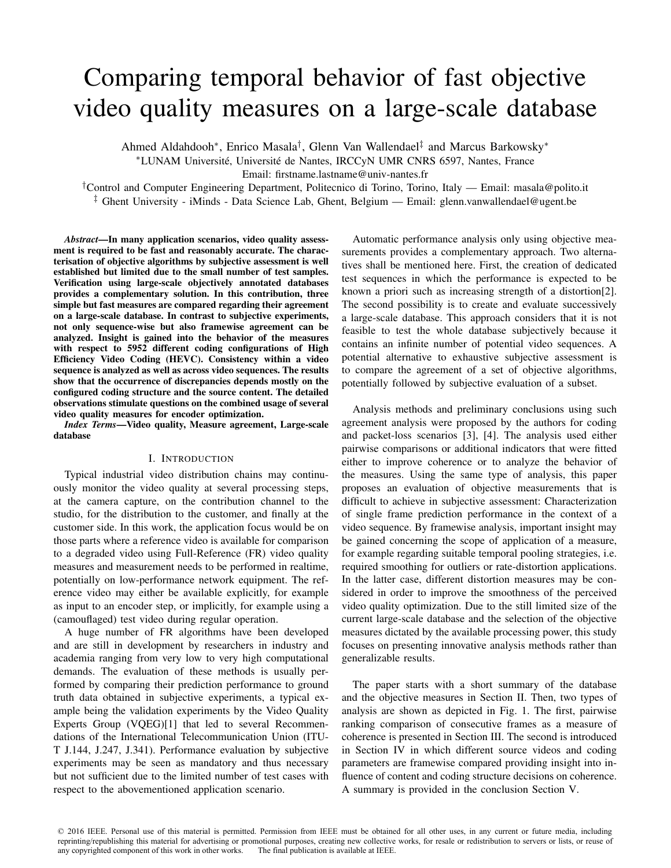# Comparing temporal behavior of fast objective video quality measures on a large-scale database

Ahmed Aldahdooh<sup>∗</sup> , Enrico Masala† , Glenn Van Wallendael‡ and Marcus Barkowsky<sup>∗</sup> \*LUNAM Université, Université de Nantes, IRCCyN UMR CNRS 6597, Nantes, France

Email: firstname.lastname@univ-nantes.fr

†Control and Computer Engineering Department, Politecnico di Torino, Torino, Italy — Email: masala@polito.it ‡ Ghent University - iMinds - Data Science Lab, Ghent, Belgium — Email: glenn.vanwallendael@ugent.be

*Abstract*—In many application scenarios, video quality assessment is required to be fast and reasonably accurate. The characterisation of objective algorithms by subjective assessment is well established but limited due to the small number of test samples. Verification using large-scale objectively annotated databases provides a complementary solution. In this contribution, three simple but fast measures are compared regarding their agreement on a large-scale database. In contrast to subjective experiments, not only sequence-wise but also framewise agreement can be analyzed. Insight is gained into the behavior of the measures with respect to 5952 different coding configurations of High Efficiency Video Coding (HEVC). Consistency within a video sequence is analyzed as well as across video sequences. The results show that the occurrence of discrepancies depends mostly on the configured coding structure and the source content. The detailed observations stimulate questions on the combined usage of several video quality measures for encoder optimization.

*Index Terms*—Video quality, Measure agreement, Large-scale database

# I. INTRODUCTION

Typical industrial video distribution chains may continuously monitor the video quality at several processing steps, at the camera capture, on the contribution channel to the studio, for the distribution to the customer, and finally at the customer side. In this work, the application focus would be on those parts where a reference video is available for comparison to a degraded video using Full-Reference (FR) video quality measures and measurement needs to be performed in realtime, potentially on low-performance network equipment. The reference video may either be available explicitly, for example as input to an encoder step, or implicitly, for example using a (camouflaged) test video during regular operation.

A huge number of FR algorithms have been developed and are still in development by researchers in industry and academia ranging from very low to very high computational demands. The evaluation of these methods is usually performed by comparing their prediction performance to ground truth data obtained in subjective experiments, a typical example being the validation experiments by the Video Quality Experts Group (VQEG)[1] that led to several Recommendations of the International Telecommunication Union (ITU-T J.144, J.247, J.341). Performance evaluation by subjective experiments may be seen as mandatory and thus necessary but not sufficient due to the limited number of test cases with respect to the abovementioned application scenario.

Automatic performance analysis only using objective measurements provides a complementary approach. Two alternatives shall be mentioned here. First, the creation of dedicated test sequences in which the performance is expected to be known a priori such as increasing strength of a distortion[2]. The second possibility is to create and evaluate successively a large-scale database. This approach considers that it is not feasible to test the whole database subjectively because it contains an infinite number of potential video sequences. A potential alternative to exhaustive subjective assessment is to compare the agreement of a set of objective algorithms, potentially followed by subjective evaluation of a subset.

Analysis methods and preliminary conclusions using such agreement analysis were proposed by the authors for coding and packet-loss scenarios [3], [4]. The analysis used either pairwise comparisons or additional indicators that were fitted either to improve coherence or to analyze the behavior of the measures. Using the same type of analysis, this paper proposes an evaluation of objective measurements that is difficult to achieve in subjective assessment: Characterization of single frame prediction performance in the context of a video sequence. By framewise analysis, important insight may be gained concerning the scope of application of a measure, for example regarding suitable temporal pooling strategies, i.e. required smoothing for outliers or rate-distortion applications. In the latter case, different distortion measures may be considered in order to improve the smoothness of the perceived video quality optimization. Due to the still limited size of the current large-scale database and the selection of the objective measures dictated by the available processing power, this study focuses on presenting innovative analysis methods rather than generalizable results.

The paper starts with a short summary of the database and the objective measures in Section II. Then, two types of analysis are shown as depicted in Fig. 1. The first, pairwise ranking comparison of consecutive frames as a measure of coherence is presented in Section III. The second is introduced in Section IV in which different source videos and coding parameters are framewise compared providing insight into influence of content and coding structure decisions on coherence. A summary is provided in the conclusion Section V.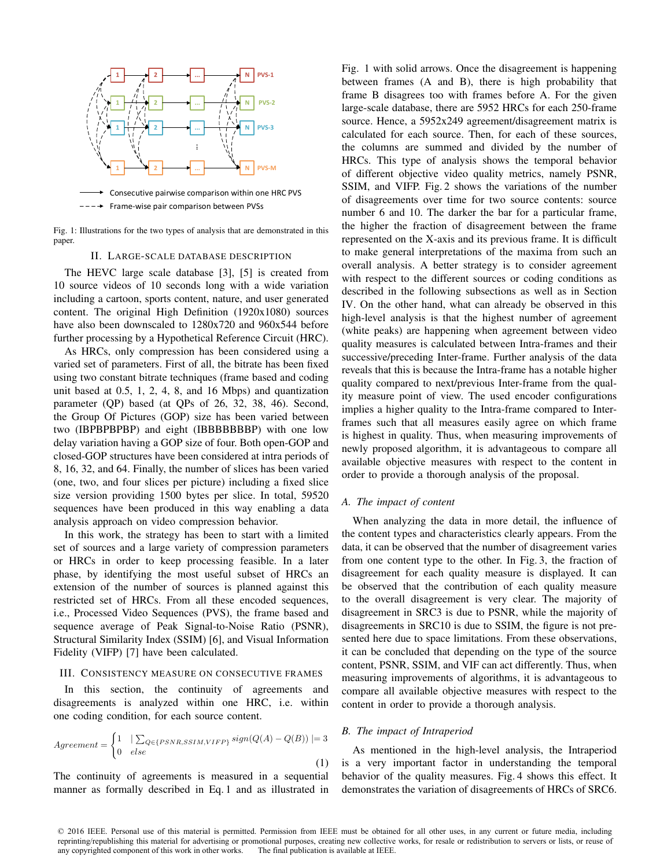

Fig. 1: Illustrations for the two types of analysis that are demonstrated in this paper.

#### II. LARGE-SCALE DATABASE DESCRIPTION

The HEVC large scale database [3], [5] is created from 10 source videos of 10 seconds long with a wide variation including a cartoon, sports content, nature, and user generated content. The original High Definition (1920x1080) sources have also been downscaled to 1280x720 and 960x544 before further processing by a Hypothetical Reference Circuit (HRC).

As HRCs, only compression has been considered using a varied set of parameters. First of all, the bitrate has been fixed using two constant bitrate techniques (frame based and coding unit based at 0.5, 1, 2, 4, 8, and 16 Mbps) and quantization parameter (QP) based (at QPs of 26, 32, 38, 46). Second, the Group Of Pictures (GOP) size has been varied between two (IBPBPBPBP) and eight (IBBBBBBBP) with one low delay variation having a GOP size of four. Both open-GOP and closed-GOP structures have been considered at intra periods of 8, 16, 32, and 64. Finally, the number of slices has been varied (one, two, and four slices per picture) including a fixed slice size version providing 1500 bytes per slice. In total, 59520 sequences have been produced in this way enabling a data analysis approach on video compression behavior.

In this work, the strategy has been to start with a limited set of sources and a large variety of compression parameters or HRCs in order to keep processing feasible. In a later phase, by identifying the most useful subset of HRCs an extension of the number of sources is planned against this restricted set of HRCs. From all these encoded sequences, i.e., Processed Video Sequences (PVS), the frame based and sequence average of Peak Signal-to-Noise Ratio (PSNR), Structural Similarity Index (SSIM) [6], and Visual Information Fidelity (VIFP) [7] have been calculated.

#### III. CONSISTENCY MEASURE ON CONSECUTIVE FRAMES

In this section, the continuity of agreements and disagreements is analyzed within one HRC, i.e. within one coding condition, for each source content.

$$
Agreement = \begin{cases} 1 & \mid \sum_{Q \in \{PSNR, SSIM, VIFP\}} sign(Q(A) - Q(B)) \mid = 3\\ 0 & else \end{cases} \tag{1}
$$

The continuity of agreements is measured in a sequential manner as formally described in Eq. 1 and as illustrated in Fig. 1 with solid arrows. Once the disagreement is happening between frames (A and B), there is high probability that frame B disagrees too with frames before A. For the given large-scale database, there are 5952 HRCs for each 250-frame source. Hence, a 5952x249 agreement/disagreement matrix is calculated for each source. Then, for each of these sources, the columns are summed and divided by the number of HRCs. This type of analysis shows the temporal behavior of different objective video quality metrics, namely PSNR, SSIM, and VIFP. Fig. 2 shows the variations of the number of disagreements over time for two source contents: source number 6 and 10. The darker the bar for a particular frame, the higher the fraction of disagreement between the frame represented on the X-axis and its previous frame. It is difficult to make general interpretations of the maxima from such an overall analysis. A better strategy is to consider agreement with respect to the different sources or coding conditions as described in the following subsections as well as in Section IV. On the other hand, what can already be observed in this high-level analysis is that the highest number of agreement (white peaks) are happening when agreement between video quality measures is calculated between Intra-frames and their successive/preceding Inter-frame. Further analysis of the data reveals that this is because the Intra-frame has a notable higher quality compared to next/previous Inter-frame from the quality measure point of view. The used encoder configurations implies a higher quality to the Intra-frame compared to Interframes such that all measures easily agree on which frame is highest in quality. Thus, when measuring improvements of newly proposed algorithm, it is advantageous to compare all available objective measures with respect to the content in order to provide a thorough analysis of the proposal.

# *A. The impact of content*

When analyzing the data in more detail, the influence of the content types and characteristics clearly appears. From the data, it can be observed that the number of disagreement varies from one content type to the other. In Fig. 3, the fraction of disagreement for each quality measure is displayed. It can be observed that the contribution of each quality measure to the overall disagreement is very clear. The majority of disagreement in SRC3 is due to PSNR, while the majority of disagreements in SRC10 is due to SSIM, the figure is not presented here due to space limitations. From these observations, it can be concluded that depending on the type of the source content, PSNR, SSIM, and VIF can act differently. Thus, when measuring improvements of algorithms, it is advantageous to compare all available objective measures with respect to the content in order to provide a thorough analysis.

#### *B. The impact of Intraperiod*

As mentioned in the high-level analysis, the Intraperiod is a very important factor in understanding the temporal behavior of the quality measures. Fig. 4 shows this effect. It demonstrates the variation of disagreements of HRCs of SRC6.

<sup>© 2016</sup> IEEE. Personal use of this material is permitted. Permission from IEEE must be obtained for all other uses, in any current or future media, including reprinting/republishing this material for advertising or promotional purposes, creating new collective works, for resale or redistribution to servers or lists, or reuse of any copyrighted component of this work in other works. The final publication is available at IEEE.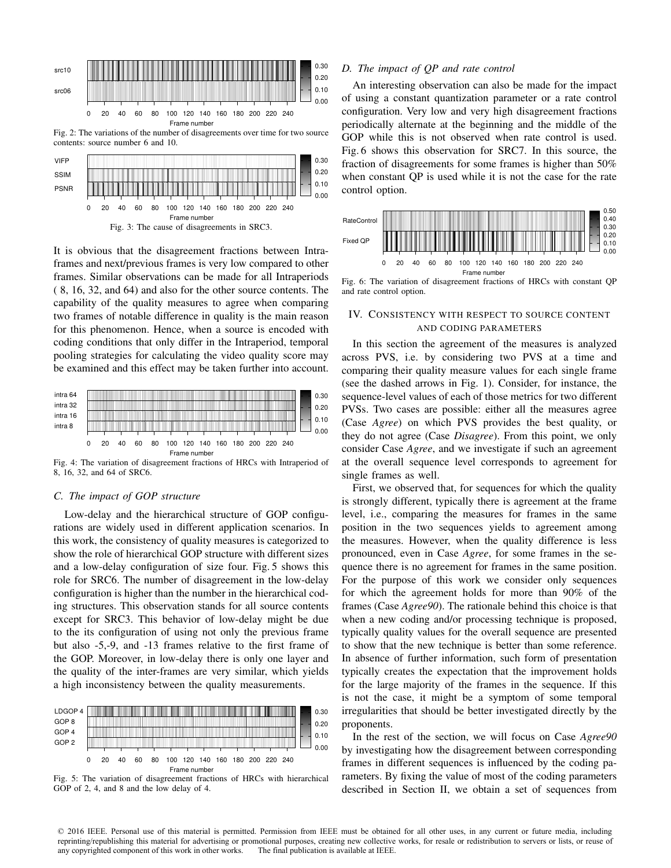

Fig. 2: The variations of the number of disagreements over time for two source contents: source number 6 and 10.



It is obvious that the disagreement fractions between Intraframes and next/previous frames is very low compared to other frames. Similar observations can be made for all Intraperiods ( 8, 16, 32, and 64) and also for the other source contents. The capability of the quality measures to agree when comparing two frames of notable difference in quality is the main reason for this phenomenon. Hence, when a source is encoded with coding conditions that only differ in the Intraperiod, temporal pooling strategies for calculating the video quality score may be examined and this effect may be taken further into account.



Fig. 4: The variation of disagreement fractions of HRCs with Intraperiod of 8, 16, 32, and 64 of SRC6.

# *C. The impact of GOP structure*

Low-delay and the hierarchical structure of GOP configurations are widely used in different application scenarios. In this work, the consistency of quality measures is categorized to show the role of hierarchical GOP structure with different sizes and a low-delay configuration of size four. Fig. 5 shows this role for SRC6. The number of disagreement in the low-delay configuration is higher than the number in the hierarchical coding structures. This observation stands for all source contents except for SRC3. This behavior of low-delay might be due to the its configuration of using not only the previous frame but also -5,-9, and -13 frames relative to the first frame of the GOP. Moreover, in low-delay there is only one layer and the quality of the inter-frames are very similar, which yields a high inconsistency between the quality measurements.



Fig. 5: The variation of disagreement fractions of HRCs with hierarchical GOP of 2, 4, and 8 and the low delay of 4.

# *D. The impact of QP and rate control*

An interesting observation can also be made for the impact of using a constant quantization parameter or a rate control configuration. Very low and very high disagreement fractions periodically alternate at the beginning and the middle of the GOP while this is not observed when rate control is used. Fig. 6 shows this observation for SRC7. In this source, the fraction of disagreements for some frames is higher than 50% when constant QP is used while it is not the case for the rate control option.



# and rate control option.

# IV. CONSISTENCY WITH RESPECT TO SOURCE CONTENT AND CODING PARAMETERS

In this section the agreement of the measures is analyzed across PVS, i.e. by considering two PVS at a time and comparing their quality measure values for each single frame (see the dashed arrows in Fig. 1). Consider, for instance, the sequence-level values of each of those metrics for two different PVSs. Two cases are possible: either all the measures agree (Case *Agree*) on which PVS provides the best quality, or they do not agree (Case *Disagree*). From this point, we only consider Case *Agree*, and we investigate if such an agreement at the overall sequence level corresponds to agreement for single frames as well.

First, we observed that, for sequences for which the quality is strongly different, typically there is agreement at the frame level, i.e., comparing the measures for frames in the same position in the two sequences yields to agreement among the measures. However, when the quality difference is less pronounced, even in Case *Agree*, for some frames in the sequence there is no agreement for frames in the same position. For the purpose of this work we consider only sequences for which the agreement holds for more than 90% of the frames (Case *Agree90*). The rationale behind this choice is that when a new coding and/or processing technique is proposed, typically quality values for the overall sequence are presented to show that the new technique is better than some reference. In absence of further information, such form of presentation typically creates the expectation that the improvement holds for the large majority of the frames in the sequence. If this is not the case, it might be a symptom of some temporal irregularities that should be better investigated directly by the proponents.

In the rest of the section, we will focus on Case *Agree90* by investigating how the disagreement between corresponding frames in different sequences is influenced by the coding parameters. By fixing the value of most of the coding parameters described in Section II, we obtain a set of sequences from

© 2016 IEEE. Personal use of this material is permitted. Permission from IEEE must be obtained for all other uses, in any current or future media, including reprinting/republishing this material for advertising or promotional purposes, creating new collective works, for resale or redistribution to servers or lists, or reuse of any copyrighted component of this work in other works. The final publication is available at IEEE.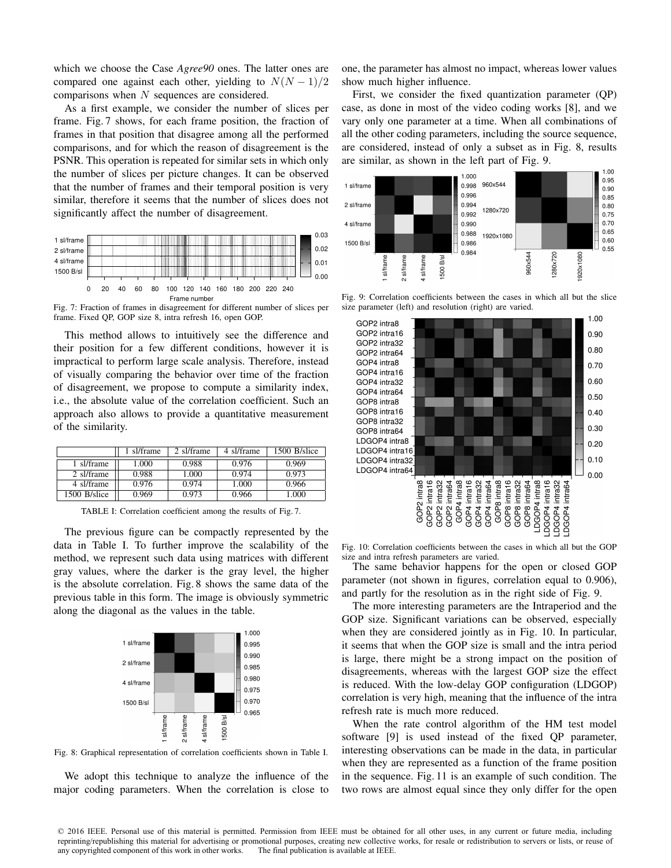which we choose the Case *Agree90* ones. The latter ones are compared one against each other, yielding to  $N(N-1)/2$ comparisons when N sequences are considered.

As a first example, we consider the number of slices per frame. Fig. 7 shows, for each frame position, the fraction of frames in that position that disagree among all the performed comparisons, and for which the reason of disagreement is the PSNR. This operation is repeated for similar sets in which only the number of slices per picture changes. It can be observed that the number of frames and their temporal position is very similar, therefore it seems that the number of slices does not significantly affect the number of disagreement.

| 1 sl/frame   |   |    |    |    |    |  |  |                                 |  |  |  | 0.03 |
|--------------|---|----|----|----|----|--|--|---------------------------------|--|--|--|------|
| 2 sl/frame   |   |    |    |    |    |  |  |                                 |  |  |  | 0.02 |
| 4 sl/frame   |   |    |    |    |    |  |  |                                 |  |  |  | 0.01 |
| 1500 B/sl    |   |    |    |    |    |  |  |                                 |  |  |  | 0.00 |
|              |   |    |    |    |    |  |  |                                 |  |  |  |      |
|              | 0 | 20 | 40 | 60 | 80 |  |  | 100 120 140 160 180 200 220 240 |  |  |  |      |
| Frame number |   |    |    |    |    |  |  |                                 |  |  |  |      |

Fig. 7: Fraction of frames in disagreement for different number of slices per frame. Fixed QP, GOP size 8, intra refresh 16, open GOP.

This method allows to intuitively see the difference and their position for a few different conditions, however it is impractical to perform large scale analysis. Therefore, instead of visually comparing the behavior over time of the fraction of disagreement, we propose to compute a similarity index, i.e., the absolute value of the correlation coefficient. Such an approach also allows to provide a quantitative measurement of the similarity.

|              | sl/frame | 2 sl/frame | 4 sl/frame | 1500 B/slice |
|--------------|----------|------------|------------|--------------|
| 1 sl/frame   | 1.000    | 0.988      | 0.976      | 0.969        |
| 2 sl/frame   | 0.988    | 1.000      | 0.974      | 0.973        |
| 4 sl/frame   | 0.976    | 0.974      | 1.000      | 0.966        |
| 1500 B/slice | 0.969    | 0.973      | 0.966      | 1.000        |

TABLE I: Correlation coefficient among the results of Fig. 7.

The previous figure can be compactly represented by the data in Table I. To further improve the scalability of the method, we represent such data using matrices with different gray values, where the darker is the gray level, the higher is the absolute correlation. Fig. 8 shows the same data of the previous table in this form. The image is obviously symmetric along the diagonal as the values in the table.



Fig. 8: Graphical representation of correlation coefficients shown in Table I.

We adopt this technique to analyze the influence of the major coding parameters. When the correlation is close to one, the parameter has almost no impact, whereas lower values show much higher influence.

First, we consider the fixed quantization parameter (QP) case, as done in most of the video coding works [8], and we vary only one parameter at a time. When all combinations of all the other coding parameters, including the source sequence, are considered, instead of only a subset as in Fig. 8, results are similar, as shown in the left part of Fig. 9.



Fig. 9: Correlation coefficients between the cases in which all but the slice size parameter (left) and resolution (right) are varied.



Fig. 10: Correlation coefficients between the cases in which all but the GOP size and intra refresh parameters are varied.

The same behavior happens for the open or closed GOP parameter (not shown in figures, correlation equal to 0.906), and partly for the resolution as in the right side of Fig. 9.

The more interesting parameters are the Intraperiod and the GOP size. Significant variations can be observed, especially when they are considered jointly as in Fig. 10. In particular, it seems that when the GOP size is small and the intra period is large, there might be a strong impact on the position of disagreements, whereas with the largest GOP size the effect is reduced. With the low-delay GOP configuration (LDGOP) correlation is very high, meaning that the influence of the intra refresh rate is much more reduced.

When the rate control algorithm of the HM test model software [9] is used instead of the fixed QP parameter, interesting observations can be made in the data, in particular when they are represented as a function of the frame position in the sequence. Fig. 11 is an example of such condition. The two rows are almost equal since they only differ for the open

© 2016 IEEE. Personal use of this material is permitted. Permission from IEEE must be obtained for all other uses, in any current or future media, including reprinting/republishing this material for advertising or promotional purposes, creating new collective works, for resale or redistribution to servers or lists, or reuse of any copyrighted component of this work in other works. The final publication is available at IEEE.